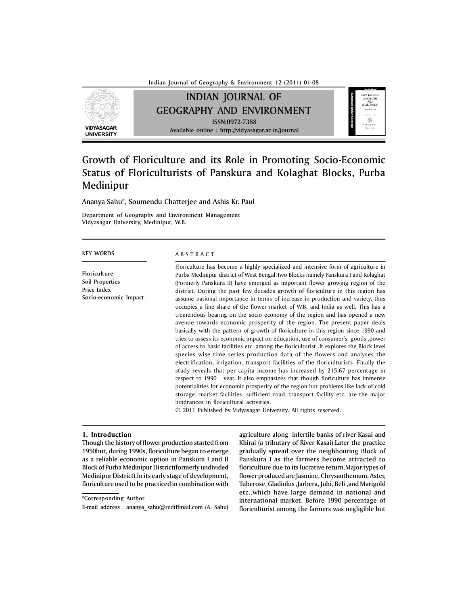Indian Journal of Geography & Environment 12 (2011) 01-08

# INDIAN JOURNAL OF GEOGRAPHY AND ENVIRONMENT ISSN:0972-7388 Available online : http://vidyasagar.ac.in/journal

٤

# Growth of Floriculture and its Role in Promoting Socio-Economic Status of Floriculturists of Panskura and Kolaghat Blocks, Purba Medinipur

Ananya Sahu\*, Soumendu Chatterjee and Ashis Kr. Paul

Department of Geography and Environment Management Vidyasagar University, Medinipur, W.B.

# KEY WORDS

**VIDYASAGAR UNIVERSITY**

#### A B S T R A C T

Floriculture Soil Properties Price Index Socio-economic Impact. Floriculture has become a highly specialized and intensive form of agriculture in Purba Medinipur district of West Bengal.Two Blocks namely Panskura I and Kolaghat (Formerly Panskura II) have emerged as important flower growing region of the district. During the past few decades growth of floriculture in this region has assume national importance in terms of increase in production and variety, thus occupies a line share of the flower market of W.B. and India as well. This has a tremendous bearing on the socio economy of the region and has opened a new avenue towards economic prosperity of the region. The present paper deals basically with the pattern of growth of floriculture in this region since 1990 and tries to assess its economic impact on education, use of consumer's goods ,power of access to basic facilities etc. among the floriculturist .It explores the Block level species wise time series production data of the flowers and analyses the electrification, irrigation, transport facilities of the floriculturists .Finally the study reveals that per capita income has increased by 215.67 percentage in respect to 1990 year. It also emphasizes that though floriculture has immense potentialities for economic prosperity of the region but problems like lack of cold storage, market facilities, sufficient road, transport facility etc. are the major hindrances in floricultural activities.

© 2011 Published by Vidyasagar University. All rights reserved.

### 1. Introduction

Though the history of flower production started from 1950but, during 1990s, floriculture began to emerge as a reliable economic option in Panskura I and II Block of Purba Medinipur District(formerly undivided Medinipur District).In its early stage of development, floriculture used to be practiced in combination with agriculture along infertile banks of river Kasai and Khirai (a tributary of River Kasai).Later the practice gradually spread over the neighbouring Block of Panskura I as the farmers become attracted to floriculture due to its lucrative return.Major types of flower produced are Jasmine, Chrysanthemum, Aster, Tuberose, Gladiolus ,Jarbera, Juhi, Beli ,and Marigold etc.,which have large demand in national and international market. Before 1990 percentage of floriculturist among the farmers was negligible but

<sup>\*</sup>Corresponding Author

E-mail address : ananya\_sahu@rediffmail.com (A. Sahu)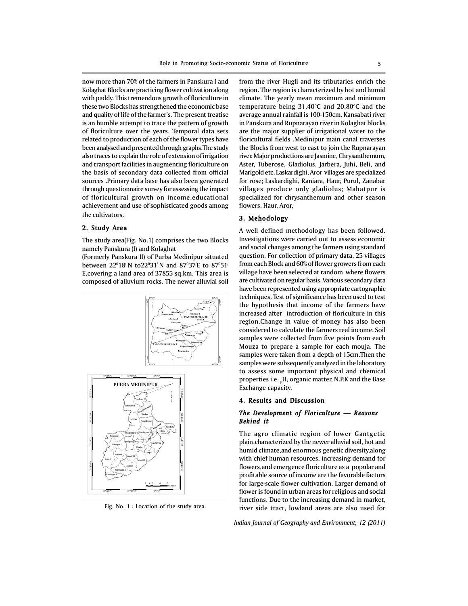now more than 70% of the farmers in Panskura I and Kolaghat Blocks are practicing flower cultivation along with paddy. This tremendous growth of floriculture in these two Blocks has strengthened the economic base and quality of life of the farmer's. The present treatise is an humble attempt to trace the pattern of growth of floriculture over the years. Temporal data sets related to production of each of the flower types have been analysed and presented through graphs.The study also traces to explain the role of extension of irrigation and transport facilities in augmenting floriculture on the basis of secondary data collected from official sources .Primary data base has also been generated through questionnaire survey for assessing the impact of floricultural growth on income,educational achievement and use of sophisticated goods among the cultivators.

## 2. Study Area

The study area(Fig. No.1) comprises the two Blocks namely Panskura (I) and Kolaghat

(Formerly Panskura II) of Purba Medinipur situated between 22°18<sup>/</sup> N to22°31<sup>/</sup> N and 87°37<sup>/E</sup> to 87°51<sup>/</sup> E,covering a land area of 37855 sq.km. This area is composed of alluvium rocks. The newer alluvial soil



from the river Hugli and its tributaries enrich the region. The region is characterized by hot and humid climate. The yearly mean maximum and minimum temperature being 31.40°C and 20.80°C and the average annual rainfall is 100-150cm. Kansabati river in Panskura and Rupnarayan river in Kolaghat blocks are the major supplier of irrigational water to the floricultural fields .Medinipur main canal traverses the Blocks from west to east to join the Rupnarayan river. Major productions are Jasmine, Chrysanthemum, Aster, Tuberose, Gladiolus, Jarbera, Juhi, Beli, and Marigold etc. Laskardighi, Aror villages are specialized for rose; Laskardighi, Raniara, Haur, Purul, Zanabar villages produce only gladiolus; Mahatpur is specialized for chrysanthemum and other season flowers, Haur, Aror,

# 3. Mehodology

A well defined methodology has been followed. Investigations were carried out to assess economic and social changes among the farmers using standard question. For collection of primary data, 25 villages from each Block and 60% of flower growers from each village have been selected at random where flowers are cultivated on regular basis. Various secondary data have been represented using appropriate cartographic techniques. Test of significance has been used to test the hypothesis that income of the farmers have increased after introduction of floriculture in this region.Change in value of money has also been considered to calculate the farmers real income. Soil samples were collected from five points from each Mouza to prepare a sample for each mouja. The samples were taken from a depth of 15cm.Then the samples were subsequently analyzed in the laboratory to assess some important physical and chemical properties i.e. <sub>P</sub>H, organic matter, N.P.K and the Base Exchange capacity.

# 4. Results and Discussion

# *The Development of Floriculture — Reasons Behind it*

The agro climatic region of lower Gantgetic plain,characterized by the newer alluvial soil, hot and humid climate,and enormous genetic diversity,along with chief human resources, increasing demand for flowers,and emergence floriculture as a popular and profitable source of income are the favorable factors for large-scale flower cultivation. Larger demand of flower is found in urban areas for religious and social functions. Due to the increasing demand in market, Fig. No. 1 : Location of the study area. The Fig. No. 1 : Location of the study area. Fig. 2. 1 : Fig. 2. 1 : Fig. 2. 1 : Fig. 2. 1 : Fig. 2. 1 : Fig. 2. 1 : Fig. 2. 1 : Fig. 2. 1 : Fig. 2. 1 : Fig. 2. 1 : Fig. 2. 1 : Fig.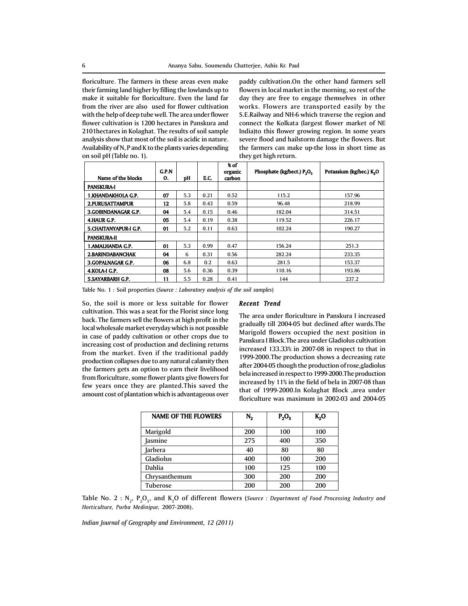floriculture. The farmers in these areas even make their farming land higher by filling the lowlands up to make it suitable for floriculture. Even the land far from the river are also used for flower cultivation with the help of deep tube well. The area under flower flower cultivation is 1200 hectares in Panskura and 2101hectares in Kolaghat. The results of soil sample analysis show that most of the soil is acidic in nature. Availability of N, P and K to the plants varies depending on soil pH (Table no. 1).

paddy cultivation.On the other hand farmers sell flowers in local market in the morning, so rest of the day they are free to engage themselves in other works. Flowers are transported easily by the S.E.Railway and NH-6 which traverse the region and connect the Kolkata (largest flower market of NE India)to this flower growing region. In some years severe flood and hailstorm damage the flowers. But the farmers can make up-the loss in short time as they get high return.

| Name of the blocks      | G.P.N<br>О. | рH  | E.C. | % of<br>organic<br>carbon | Phosphate (kg/hect.) $P_2O_5$ | Potassium (kg/hec.) K <sub>2</sub> O |
|-------------------------|-------------|-----|------|---------------------------|-------------------------------|--------------------------------------|
| <b>PANSKURA-I</b>       |             |     |      |                           |                               |                                      |
| 1.KHANDAKHOLA G.P.      | 07          | 5.3 | 0.21 | 0.52                      | 115.2                         | 157.96                               |
| 2.PURUSATTAMPUR         | 12          | 5.8 | 0.43 | 0.59                      | 96.48                         | 218.99                               |
| 3.GOBINDANAGAR G.P.     | 04          | 5.4 | 0.15 | 0.46                      | 182.04                        | 314.51                               |
| 4.HAUR G.P.             | 05          | 5.4 | 0.19 | 0.38                      | 119.52                        | 226.17                               |
| 5.CHAITANYAPUR-I G.P.   | 01          | 5.2 | 0.11 | 0.63                      | 102.24                        | 190.27                               |
| <b>PANSKURA-II</b>      |             |     |      |                           |                               |                                      |
| 1.AMALHANDA G.P.        | 01          | 5.3 | 0.99 | 0.47                      | 156.24                        | 251.3                                |
| 2.BARINDABANCHAK        | 04          | 6   | 0.31 | 0.56                      | 282.24                        | 233.35                               |
| 3.GOPALNAGAR G.P.       | 06          | 6.8 | 0.2  | 0.63                      | 281.5                         | 153.37                               |
| 4.KOLA-I G.P.           | 08          | 5.6 | 0.36 | 0.39                      | 110.16                        | 193.86                               |
| <b>5.SAYARBARH G.P.</b> | 11          | 5.5 | 0.28 | 0.41                      | 144                           | 237.2                                |

Table No. 1 : Soil properties (*Source : Laboratory analysis of the soil samples*)

So, the soil is more or less suitable for flower cultivation. This was a seat for the Florist since long back. The farmers sell the flowers at high profit in the local wholesale market everyday which is not possible in case of paddy cultivation or other crops due to increasing cost of production and declining returns from the market. Even if the traditional paddy production collapses due to any natural calamity then the farmers gets an option to earn their livelihood from floriculture, some flower plants give flowers for few years once they are planted.This saved the amount cost of plantation which is advantageous over

### *Recent Trend*

The area under floriculture in Panskura I increased gradually till 2004-05 but declined after wards.The Marigold flowers occupied the next position in Panskura I Block.The area under Gladiolus cultivation increased 133.33% in 2007-08 in respect to that in 1999-2000.The production shows a decreasing rate after 2004-05 though the production of rose,gladiolus bela increased in respect to 1999-2000.The production increased by 11% in the field of bela in 2007-08 than that of 1999-2000.In Kolaghat Block ,area under floriculture was maximum in 2002-03 and 2004-05

| <b>NAME OF THE FLOWERS</b> | $\mathsf{N}_2$ | $P_2O_5$ | K,O |
|----------------------------|----------------|----------|-----|
| Marigold                   | 200            | 100      | 100 |
| <b>Jasmine</b>             | 275            | 400      | 350 |
| Jarbera                    | 40             | 80       | 80  |
| Gladiolus                  | 400            | 100      | 200 |
| Dahlia                     | 100            | 125      | 100 |
| Chrysanthemum              | 300            | 200      | 200 |
| Tuberose                   | 200            | 200      | 200 |

Table No.  $2: N_2$ ,  $P_2O_5$ , and  $K_2O$  of different flowers (*Source : Department of Food Processing Industry and Horticulture, Purba Medinipur,* 2007-2008).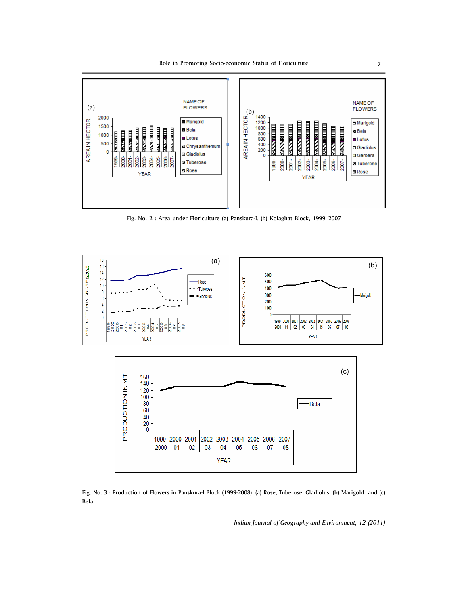

Fig. No. 2 : Area under Floriculture (a) Panskura-I, (b) Kolaghat Block, 1999–2007



Fig. No. 3 : Production of Flowers in Panskura-I Block (1999-2008). (a) Rose, Tuberose, Gladiolus. (b) Marigold and (c) Bela.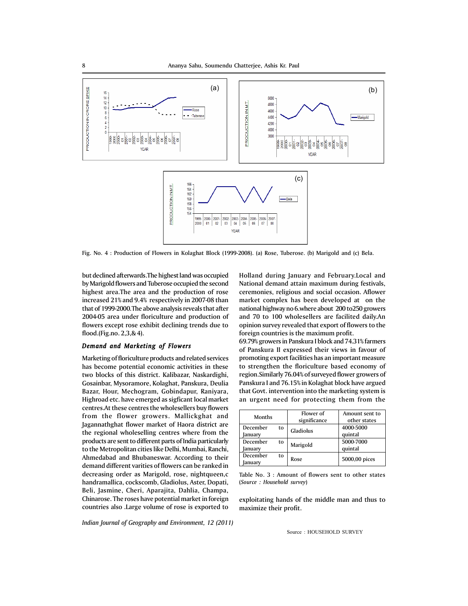

Fig. No. 4 : Production of Flowers in Kolaghat Block (1999-2008). (a) Rose, Tuberose. (b) Marigold and (c) Bela.

but declined afterwards.The highest land was occupied by Marigold flowers and Tuberose occupied the second highest area.The area and the production of rose increased 21% and 9.4% respectively in 2007-08 than that of 1999-2000.The above analysis reveals that after 2004-05 area under floriculture and production of flowers except rose exhibit declining trends due to flood.(Fig.no. 2,3,& 4).

## *Demand and Marketing of Flowers*

Marketing of floriculture products and related services has become potential economic activities in these two blocks of this district. Kalibazar, Naskardighi, Gosainbar, Mysoramore, Kolaghat, Panskura, Deulia Bazar, Hour, Mechogram, Gobindapur, Raniyara, Highroad etc. have emerged as sigficant local market centres.At these centres the wholesellers buy flowers from the flower growers. Mallickghat and Jagannathghat flower market of Haora district are the regional wholeselling centres where from the products are sent to different parts of India particularly to the Metropolitan cities like Delhi, Mumbai, Ranchi, Ahmedabad and Bhubaneswar. According to their demand different varities of flowers can be ranked in decreasing order as Marigold, rose, nightqueen,c handramallica, cockscomb, Gladiolus, Aster, Dopati, Beli, Jasmine, Cheri, Aparajita, Dahlia, Champa, Chinarose. The roses have potential market in foreign countries also .Large volume of rose is exported to

*Indian Journal of Geography and Environment, 12 (2011)*

Holland during January and February.Local and National demand attain maximum during festivals, ceremonies, religious and social occasion. Aflower market complex has been developed at on the national highway no 6.where about 200 to250 growers and 70 to 100 wholesellers are facilited daily.An opinion survey revealed that export of flowers to the foreign countries is the maximum profit.

69.79% growers in Panskura I block and 74.31% farmers of Panskura II expressed their views in favour of promoting export facilities has an important measure to strengthen the floriculture based economy of region.Similarly 76.04% of surveyed flower growers of Panskura I and 76.15% in Kolaghat block have argued that Govt. intervention into the marketing system is an urgent need for protecting them from the

| Months         | Flower of<br>significance | Amount sent to<br>other states |  |
|----------------|---------------------------|--------------------------------|--|
| December<br>to | Gladiolus                 | 4000-5000                      |  |
| January        |                           | quintal                        |  |
| December<br>to |                           | 5000-7000                      |  |
| January        | Marigold                  | quintal                        |  |
| December<br>tο | Rose                      | 5000,00 pices                  |  |
| January        |                           |                                |  |

Table No. 3 : Amount of flowers sent to other states (*Source : Household survey*)

exploitating hands of the middle man and thus to maximize their profit.

Source : HOUSEHOLD SURVEY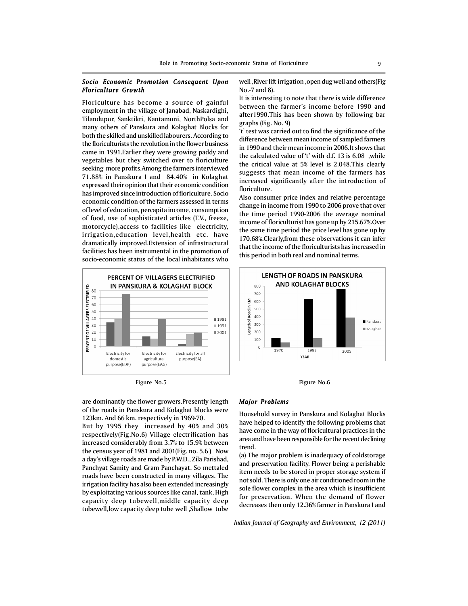## *Socio Economic Promotion Consequent Upon Floriculture Growth*

Floriculture has become a source of gainful employment in the village of Janabad, Naskardighi, Tilandupur, Sanktikri, Kantamuni, NorthPolsa and many others of Panskura and Kolaghat Blocks for both the skilled and unskilled labourers. According to the floriculturists the revolution in the flower business came in 1991.Earlier they were growing paddy and vegetables but they switched over to floriculture seeking more profits.Among the farmers interviewed 71.88% in Panskura I and 84.40% in Kolaghat expressed their opinion that their economic condition has improved since introduction of floriculture. Socio economic condition of the farmers assessed in terms of level of education, percapita income, consumption of food, use of sophisticated articles (T.V., freeze, motorcycle),access to facilities like electricity, irrigation,education level,health etc. have dramatically improved.Extension of infrastructural facilities has been instrumental in the promotion of socio-economic status of the local inhabitants who



Figure No.5 Figure No.6

are dominantly the flower growers.Presently length of the roads in Panskura and Kolaghat blocks were 123km. And 66 km. respectively in 1969-70.

But by 1995 they increased by 40% and 30% respectively(Fig.No.6) Village electrification has increased considerably from 3.7% to 15.9% between the census year of 1981 and 2001(Fig. no. 5,6 ) Now a day's village roads are made by P.W.D., Zila Parishad, Panchyat Samity and Gram Panchayat. So mettaled roads have been constructed in many villages. The irrigation facility has also been extended increasingly by exploitating various sources like canal, tank, High capacity deep tubewell,middle capacity deep tubewell,low capacity deep tube well ,Shallow tube well ,River lift irrigation ,open dug well and others(Fig No.-7 and 8).

It is interesting to note that there is wide difference between the farmer's income before 1990 and after1990.This has been shown by following bar graphs (Fig. No. 9)

't' test was carried out to find the significance of the difference between mean income of sampled farmers in 1990 and their mean income in 2006.It shows that the calculated value of 't' with d.f. 13 is 6.08 ,while the critical value at 5% level is 2.048.This clearly suggests that mean income of the farmers has increased significantly after the introduction of floriculture.

Also consumer price index and relative percentage change in income from 1990 to 2006 prove that over the time period 1990-2006 the average nominal income of floriculturist has gone up by 215.67%.Over the same time period the price level has gone up by 170.68%.Clearly,from these observations it can infer that the income of the floriculturists has increased in this period in both real and nominal terms.



#### *Major Problems*

Household survey in Panskura and Kolaghat Blocks have helped to identify the following problems that have come in the way of floricultural practices in the area and have been responsible for the recent declining trend.

(a) The major problem is inadequacy of coldstorage and preservation facility. Flower being a perishable item needs to be stored in proper storage system if not sold. There is only one air conditioned room in the sole flower complex in the area which is insufficient for preservation. When the demand of flower decreases then only 12.36% farmer in Panskura I and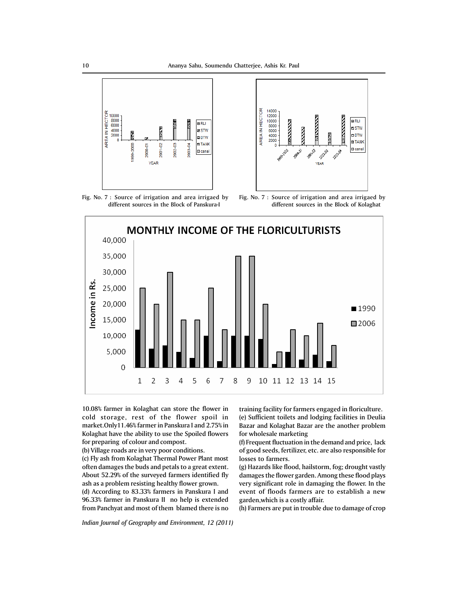

Fig. No. 7 : Source of irrigation and area irrigaed by different sources in the Block of Panskura-I

Fig. No. 7 : Source of irrigation and area irrigaed by different sources in the Block of Kolaghat

**THANKING** 

ę, ...

**YEAR** 

**EXAMPLE OF** 

**BRLI** 

**z**<sub>stw</sub>

**BDTW** 

**EITANK** 

D canal



10.08% farmer in Kolaghat can store the flower in cold storage, rest of the flower spoil in market.Only11.46% farmer in Panskura I and 2.75% in Kolaghat have the ability to use the Spoiled flowers for preparing of colour and compost.

(b) Village roads are in very poor conditions.

(c) Fly ash from Kolaghat Thermal Power Plant most often damages the buds and petals to a great extent. About 52.29% of the surveyed farmers identified fly ash as a problem resisting healthy flower grown.

(d) According to 83.33% farmers in Panskura I and 96.33% farmer in Panskura II no help is extended from Panchyat and most of them blamed there is no

*Indian Journal of Geography and Environment, 12 (2011)*

training facility for farmers engaged in floriculture. (e) Sufficient toilets and lodging facilities in Deulia Bazar and Kolaghat Bazar are the another problem for wholesale marketing

(f) Frequent fluctuation in the demand and price, lack of good seeds, fertilizer, etc. are also responsible for losses to farmers.

(g) Hazards like flood, hailstorm, fog; drought vastly damages the flower garden. Among these flood plays very significant role in damaging the flower. In the event of floods farmers are to establish a new garden,which is a costly affair.

(h) Farmers are put in trouble due to damage of crop